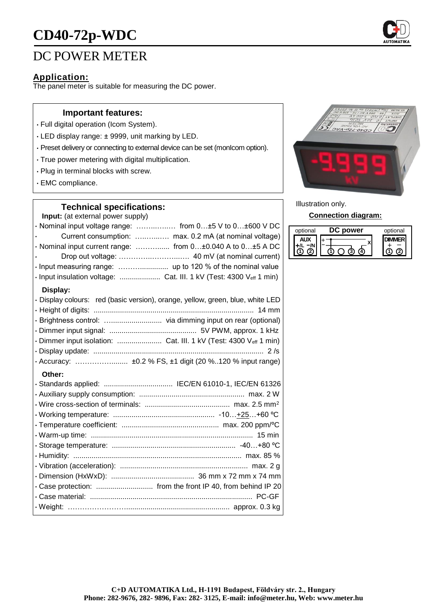# **CD40-72p-WDC**

## DC POWER METER

## **Application:**

The panel meter is suitable for measuring the DC power.

#### **Important features:**

- Full digital operation (Icom System).
- LED display range: ± 9999, unit marking by LED.
- Preset delivery or connecting to external device can be set (monIcom option).
- True power metering with digital multiplication.
- Plug in terminal blocks with screw.
- EMC compliance.

#### **Technical specifications:**

**Input:** (at external power supply)

| · Nominal input voltage range:  from 0±5 V to 0±600 V DC                       |
|--------------------------------------------------------------------------------|
| Current consumption:  max. 0.2 mA (at nominal voltage)                         |
| · Nominal input current range:  from 0±0.040 A to 0±5 A DC                     |
|                                                                                |
|                                                                                |
| · Input insulation voltage:  Cat. III. 1 kV (Test: 4300 Veff 1 min)            |
| Display:                                                                       |
| · Display colours: red (basic version), orange, yellow, green, blue, white LED |
|                                                                                |
|                                                                                |
|                                                                                |
| · Dimmer input isolation:  Cat. III. 1 kV (Test: 4300 Veff 1 min)              |
|                                                                                |
| · Accuracy:  ±0.2 % FS, ±1 digit (20 %120 % input range)                       |
| Other:                                                                         |
| · Standards applied:  IEC/EN 61010-1, IEC/EN 61326                             |
|                                                                                |
|                                                                                |
|                                                                                |
|                                                                                |
|                                                                                |
|                                                                                |
|                                                                                |
|                                                                                |
|                                                                                |
|                                                                                |
|                                                                                |
|                                                                                |



Illustration only.

#### **Connection diagram:**

| optional | <b>ower</b> | optional |
|----------|-------------|----------|
|          |             |          |